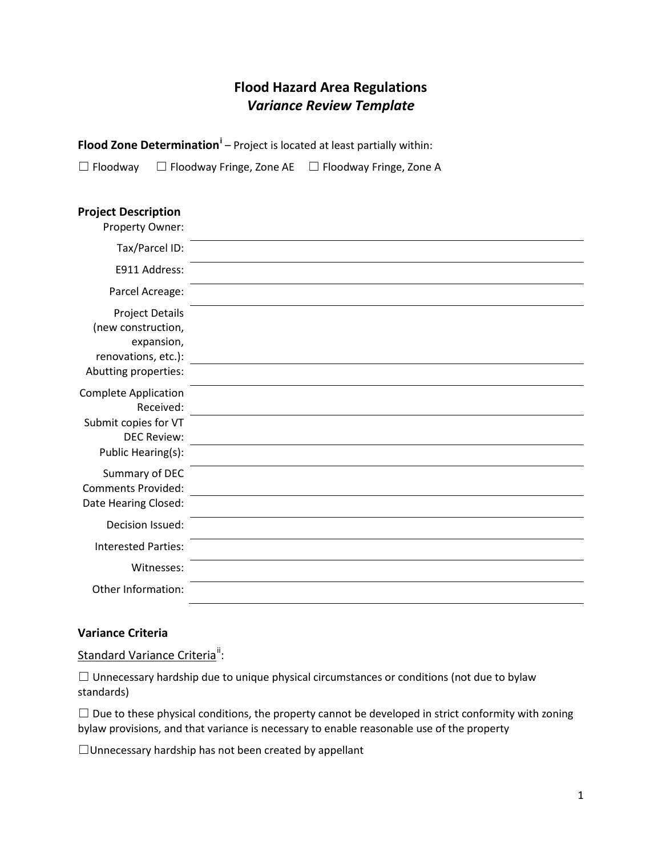## **Flood Hazard Area Regulations** *Variance Review Template*

**Flood Zone Determination[i](#page-1-0)** – Project is located at least partially within:

☐ Floodway ☐ Floodway Fringe, Zone AE ☐ Floodway Fringe, Zone A

## **Project Description**

| Property Owner:                                                                                              |  |
|--------------------------------------------------------------------------------------------------------------|--|
| Tax/Parcel ID:                                                                                               |  |
| E911 Address:                                                                                                |  |
| Parcel Acreage:                                                                                              |  |
| <b>Project Details</b><br>(new construction,<br>expansion,<br>renovations, etc.):<br>Abutting properties:    |  |
| <b>Complete Application</b><br>Received:<br>Submit copies for VT<br><b>DEC Review:</b><br>Public Hearing(s): |  |
| Summary of DEC<br><b>Comments Provided:</b><br>Date Hearing Closed:                                          |  |
| Decision Issued:                                                                                             |  |
| <b>Interested Parties:</b>                                                                                   |  |
| Witnesses:                                                                                                   |  |
| Other Information:                                                                                           |  |

## **Variance Criteria**

Standard Variance Criteria<sup>"</sup>:

☐ Unnecessary hardship due to unique physical circumstances or conditions (not due to bylaw standards)

 $\Box$  Due to these physical conditions, the property cannot be developed in strict conformity with zoning bylaw provisions, and that variance is necessary to enable reasonable use of the property

☐Unnecessary hardship has not been created by appellant